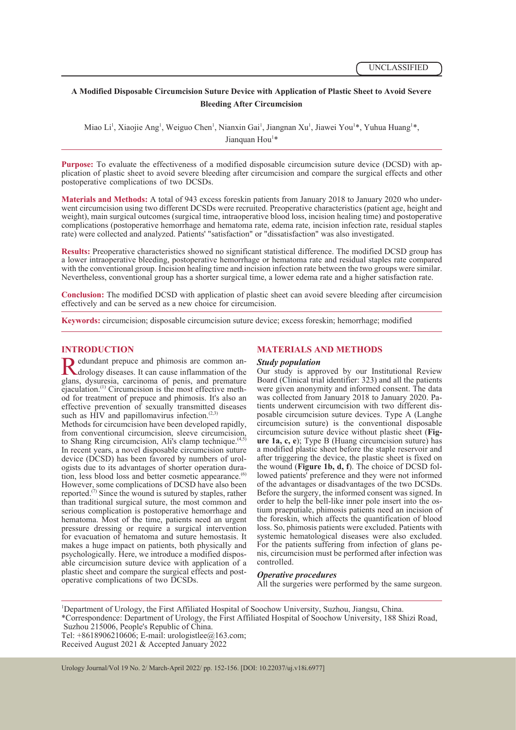## **A Modified Disposable Circumcision Suture Device with Application of Plastic Sheet to Avoid Severe Bleeding After Circumcision**

Miao Li<sup>1</sup>, Xiaojie Ang<sup>1</sup>, Weiguo Chen<sup>1</sup>, Nianxin Gai<sup>1</sup>, Jiangnan Xu<sup>1</sup>, Jiawei You<sup>1\*</sup>, Yuhua Huang<sup>1\*</sup>, Jianquan Hou<sup>1\*</sup>

**Purpose:** To evaluate the effectiveness of a modified disposable circumcision suture device (DCSD) with application of plastic sheet to avoid severe bleeding after circumcision and compare the surgical effects and other postoperative complications of two DCSDs.

**Materials and Methods:** A total of 943 excess foreskin patients from January 2018 to January 2020 who underwent circumcision using two different DCSDs were recruited. Preoperative characteristics (patient age, height and weight), main surgical outcomes (surgical time, intraoperative blood loss, incision healing time) and postoperative complications (postoperative hemorrhage and hematoma rate, edema rate, incision infection rate, residual staples rate) were collected and analyzed. Patients' "satisfaction" or "dissatisfaction" was also investigated.

**Results:** Preoperative characteristics showed no significant statistical difference. The modified DCSD group has a lower intraoperative bleeding, postoperative hemorrhage or hematoma rate and residual staples rate compared with the conventional group. Incision healing time and incision infection rate between the two groups were similar. Nevertheless, conventional group has a shorter surgical time, a lower edema rate and a higher satisfaction rate.

**Conclusion:** The modified DCSD with application of plastic sheet can avoid severe bleeding after circumcision effectively and can be served as a new choice for circumcision.

**Keywords:** circumcision; disposable circumcision suture device; excess foreskin; hemorrhage; modified

**INTRODUCTION**<br> **T** edundant prepuce and phimosis are common an-**R**edundant prepuce and phimosis are common an-<br>drology diseases. It can cause inflammation of the<br>glans, dysuresia, carcinoma of penis, and premature drology diseases. It can cause inflammation of the glans, dysuresia, carcinoma of penis, and premature eiaculation.<sup>(1)</sup> Circumcision is the most effective method for treatment of prepuce and phimosis. It's also an effective prevention of sexually transmitted diseases such as HIV and papillomavirus infection. $(2,3)$ 

Methods for circumcision have been developed rapidly, from conventional circumcision, sleeve circumcision, to Shang Ring circumcision, Ali's clamp technique. $(4,5)$ In recent years, a novel disposable circumcision suture<br>device (DCSD) has been favored by numbers of urologists due to its advantages of shorter operation dura-<br>tion, less blood loss and better cosmetic appearance.<sup>(6)</sup> However, some complications of DCSD have also been reported.<sup> $(7)$ </sup> Since the wound is sutured by staples, rather than traditional surgical suture, the most common and serious complication is postoperative hemorrhage and hematoma. Most of the time, patients need an urgent pressure dressing or require a surgical intervention for evacuation of hematoma and suture hemostasis. It makes a huge impact on patients, both physically and psychologically. Here, we introduce a modified disposable circumcision suture device with application of a plastic sheet and compare the surgical effects and post- operative complications of two DCSDs.

### **MATERIALS AND METHODS**

### *Study population*

Our study is approved by our Institutional Review Board (Clinical trial identifier: 323) and all the patients were given anonymity and informed consent. The data was collected from January 2018 to January 2020. Patients underwent circumcision with two different dis-<br>posable circumcision suture devices. Type A (Langhe circumcision suture) is the conventional disposable circumcision suture device without plastic sheet (Figure 1a, c, e); Type B (Huang circumcision suture) has a modified plastic sheet before the staple reservoir and after triggering the device, the plastic sheet is fixed on the wound (Figure 1b, d, f). The choice of DCSD followed patients' preference and they were not informed of the advantages or disadvantages of the two DCSDs. Before the surgery, the informed consent was signed. In order to help the bell-like inner pole insert into the ostium praeputiale, phimosis patients need an incision of the foreskin, which affects the quantification of blood loss. So, phimosis patients were excluded. Patients with systemic hematological diseases were also excluded.<br>For the patients suffering from infection of glans penis, circumcision must be performed after infection was controlled.

### *Operative procedures*

All the surgeries were performed by the same surgeon.

1 Department of Urology, the First Affiliated Hospital of Soochow University, Suzhou, Jiangsu, China. \*Correspondence: Department of Urology, the First Affiliated Hospital of Soochow University, 188 Shizi Road, Suzhou 215006, People's Republic of China. Tel:  $+8618906210606$ ; E-mail: urologistlee@163.com;

Received August 2021 & Accepted January 2022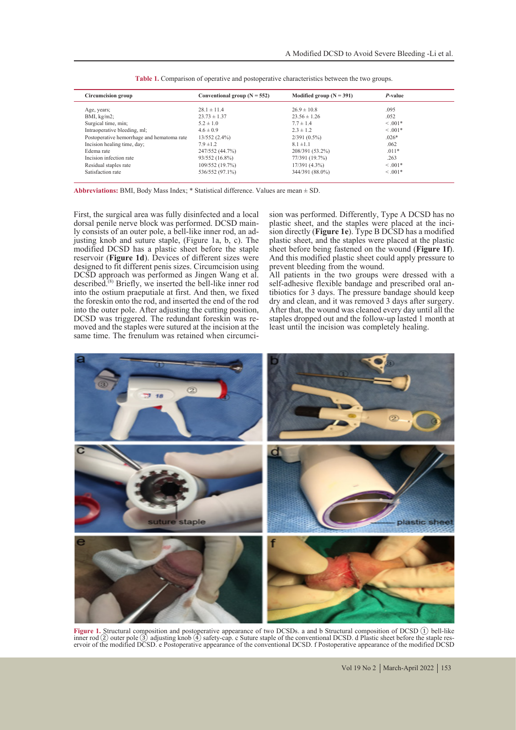| Circumcision group                         | Conventional group $(N = 552)$ | Modified group $(N = 391)$ | P-value    |
|--------------------------------------------|--------------------------------|----------------------------|------------|
| Age, years;                                | $28.1 \pm 11.4$                | $26.9 \pm 10.8$            | .095       |
| BMI, kg/m2;                                | $23.73 \pm 1.37$               | $23.56 \pm 1.26$           | .052       |
| Surgical time, min;                        | $5.2 \pm 1.0$                  | $7.7 \pm 1.4$              | $< 0.01*$  |
| Intraoperative bleeding, ml;               | $4.6 \pm 0.9$                  | $2.3 \pm 1.2$              | $<.001*$   |
| Postoperative hemorrhage and hematoma rate | $13/552(2.4\%)$                | $2/391(0.5\%)$             | $.026*$    |
| Incision healing time, day;                | $7.9 \pm 1.2$                  | $8.1 \pm 1.1$              | .062       |
| Edema rate                                 | 247/552 (44.7%)                | 208/391 (53.2%)            | $.011*$    |
| Incision infection rate                    | 93/552 (16.8%)                 | 77/391 (19.7%)             | .263       |
| Residual staples rate                      | 109/552 (19.7%)                | 17/391(4.3%)               | $< 0.001*$ |
| Satisfaction rate                          | 536/552 (97.1%)                | 344/391 (88.0%)            | $< 0.001*$ |
|                                            |                                |                            |            |

| Table 1. Comparison of operative and postoperative characteristics between the two groups. |  |
|--------------------------------------------------------------------------------------------|--|
|--------------------------------------------------------------------------------------------|--|

**Abbreviations:** BMI, Body Mass Index; \* Statistical difference. Values are mean ± SD.

First, the surgical area was fully disinfected and a local ly consists of an outer pole, a bell-like inner rod, an ad- justing knob and suture staple, (Figure 1a, b, c). The modified DCSD has a plastic sheet before the staple reservoir (**Figure 1d**). Devices of different sizes were designed to fit different penis sizes. Circumcision using DCSD approach was performed as Jingen Wang et al. described.<sup>(8)</sup> Briefly, we inserted the bell-like inner rod into the ostium praeputiale at first. And then, we fixed the foreskin onto the rod, and inserted the end of the rod into the outer pole. After adjusting the cutting position, DCSD was triggered. The redundant foreskin was removed and the staples were sutured at the incision at the same time. The frenulum was retained when circumcision was performed. Differently, Type A DCSD has no plastic sheet, and the staples were placed at the incision directly (**Figure 1e**). Type B DCSD has a modified plastic sheet, and the staples were placed at the plastic sheet before being fastened on the wound (**Figure 1f**). And this modified plastic sheet could apply pressure to prevent bleeding from the wound.

All patients in the two groups were dressed with a self-adhesive flexible bandage and prescribed oral antibiotics for 3 days. The pressure bandage should keep dry and clean, and it was removed 3 days after surgery. After that, the wound was cleaned every day until all the staples dropped out and the follow-up lasted 1 month at least until the incision was completely healing.



**Figure 1.** Structural composition and postoperative appearance of two DCSDs. a and b Structural composition of DCSD ① bell-like Figure 1.6 Collect pole (3) adjusting knob (4) safety-cap, c Suture staple of the conventional DCSD. d Plastic sheet before the staple reservoir of the modified DCSD. Postoperative appearance of the conventional DCSD. For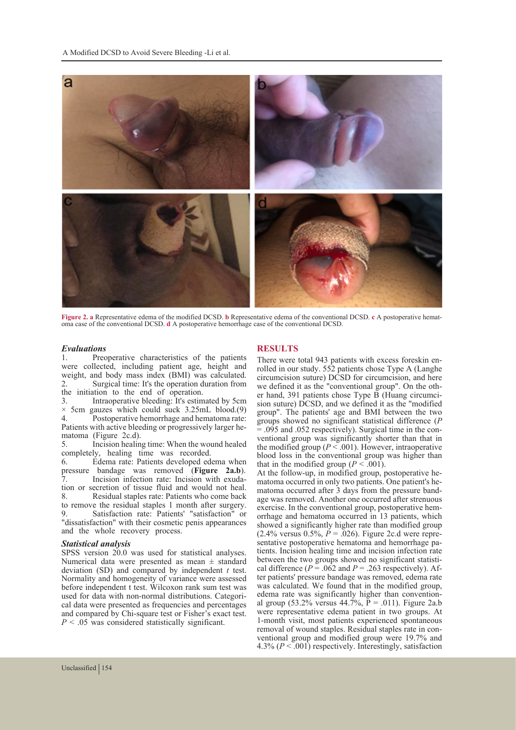

Figure 2. a Representative edema of the modified DCSD. b Representative edema of the conventional DCSD. c A postoperative hematoma case of the conventional DCSD. d A postoperative hemorrhage case of the conventional DCSD.

# *Evaluations*

Preoperative characteristics of the patients were collected, including patient age, height and weight, and body mass index (BMI) was calculated.<br>
2 Surgical time: It's the operation duration from Surgical time: It's the operation duration from the initiation to the end of operation.<br>3. Intraoperative bleeding: It's estim

3. Intraoperative bleeding: It's estimated by 5cm<br> $\times$  5cm gauzes which could suck 3.25mL blood (9)  $\times$  5cm gauzes which could suck 3.25mL blood.(9)<br>4. Postoperative hemorrhage and hematoma rate: Postoperative hemorrhage and hematoma rate: Patients with active bleeding or progressively larger he-<br>matoma (Figure 2c.d).<br>5. Incision healing time: When the wound healed

5. Incision healing time: When the wound healed completely, healing time was recorded.<br>6. Edema rate: Patients developed ed

6. Edema rate: Patients developed edema when pressure bandage was removed (**Figure 2a.b**).<br>7. Incision infection rate: Incision with exuda-<sup>8</sup>. It is incorporate: Incident and would not heal.<br> **8.** Residual staples rate: Patients who come back Residual staples rate: Patients who come back to remove the residual staples 1 month after surgery.<br>9 Satisfaction rate: Patients' "satisfaction" or Satisfaction rate: Patients' "satisfaction" or "dissatisfaction" with their cosmetic penis appearances and the whole recovery process.

### *Statistical analysis*

SPSS version 20.0 was used for statistical analyses. Numerical data were presented as mean  $\pm$  standard deviation (SD) and compared by independent *t* test. Normality and homogeneity of variance were assessed before independent t test. Wilcoxon rank sum test was used for data with non-normal distributions. Categorical data were presented as frequencies and percentages. and compared by Chi-square test or Fisher's exact test. *P* < .05 was considered statistically significant.

**RESULTS**<br>There were total 943 patients with excess foreskin enrolled in our study.  $55\overline{2}$  patients chose Type A (Langhe circumcision suture) DCSD for circumcision, and here er hand, 391 patients chose Type B (Huang circumci- sion suture) DCSD, and we defined it as the "modified group". The patients' age and BMI between the two groups showed no significant statistical difference ( $P = .095$  and .052 respectively). Surgical time in the conventional group was significantly shorter than that in the modified group  $(P < .001)$ . However, intraoperative blood loss in the conventional group was higher than that in the modified group  $(P < .001)$ .

At the follow-up, in modified group, postoperative he-<br>matoma occurred in only two patients. One patient's he-<br>matoma occurred after 3 days from the pressure band-<br>age was removed. Another one occurred after strenuous<br>exer orrhage and hematoma occurred in 13 patients, which showed a significantly higher rate than modified group (2.4% versus 0.5%,  $\vec{P} = .026$ ). Figure 2c.d were representative postoperative hematoma and hemorrhage patients. Incision healing time and incision infection rate between the two groups showed no significant statistical difference ( $P = .062$  and  $P = .263$  respectively). After patients' pressure bandage was removed, edema rate was calculated. We found that in the modified group, edema rate was significantly higher than convention-<br>al group (53.2% versus  $44.7\%$ , P = .011). Figure 2a.b were representative edema patient in two groups. At 1-month visit, most patients experienced spontaneous removal of wound staples. Residual staples rate in con- ventional group and modified group were 19.7% and 4.3% (*P* < .001) respectively. Interestingly, satisfaction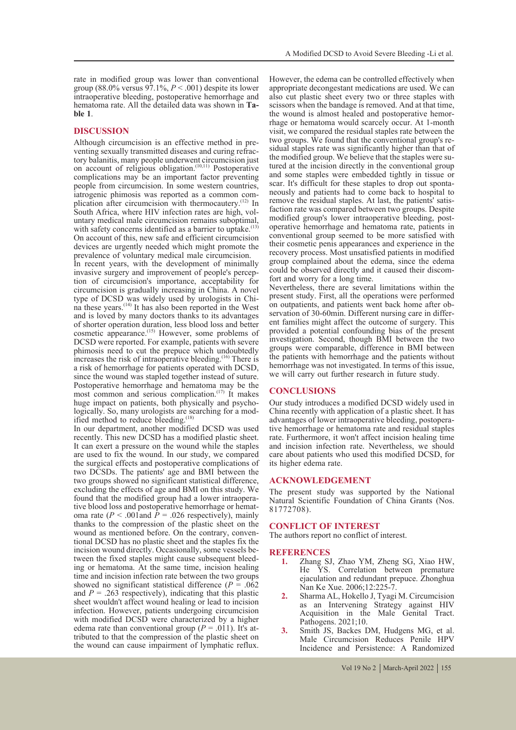rate in modified group was lower than conventional group (88.0% versus  $97.1\%$ ,  $P < .001$ ) despite its lower intraoperative bleeding, postoperative hemorrhage and hematoma rate. All the detailed data was shown in **Ta- ble 1**.

### **DISCUSSION**

Although circumcision is an effective method in preventing sexually transmitted diseases and curing refractory balanitis, many people underwent circumcision just on account of religious obligation.(10,11) Postoperative complications may be an important factor preventing people from circumcision. In some western countries, iatrogenic phimosis was reported as a common complication after circumcision with thermocautery.<sup>(12)</sup> In South Africa, where HIV infection rates are high, voluntary medical male circumcision remains suboptimal, with safety concerns identified as a barrier to uptake. $(13)$ On account of this, new safe and efficient circumcision devices are urgently needed which might promote the prevalence of voluntary medical male circumcision.

In recent years, with the development of minimally invasive surgery and improvement of people's perception of circumcision's importance, acceptability for circumcision is gradually increasing in China. A novel na these years.<sup>(14)</sup> It has also been reported in the West and is loved by many doctors thanks to its advantages of shorter operation duration, less blood loss and better cosmetic appearance.<sup>(15)</sup> However, some problems of DCSD were reported. For example, patients with severe phimosis need to cut the prepuce which undoubtedly increases the risk of intraoperative bleeding.<sup>(16)</sup> There is a risk of hemorrhage for patients operated with DCSD, since the wound was stapled together instead of suture. Postoperative hemorrhage and hematoma may be the most common and serious complication.<sup>(17)</sup> It makes huge impact on patients, both physically and psycho-logically. So, many urologists are searching for a mod-<br>ified method to reduce bleeding.<sup>(18)</sup>

In our department, another modified DCSD was used recently. This new DCSD has a modified plastic sheet. It can exert a pressure on the wound while the staples are used to fix the wound. In our study, we compared the surgical effects and postoperative complications of two DCSDs. The patients' age and BMI between the two groups showed no significant statistical difference, excluding the effects of age and BMI on this study. We found that the modified group had a lower intraoperafour tive blood loss and postoperative hemorrhage or hemat-<br>oma rate  $(P < .001$  and  $P = .026$  respectively), mainly thanks to the compression of the plastic sheet on the tional DCSD has no plastic sheet and the staples fix the incision wound directly. Occasionally, some vessels between the fixed staples might cause subsequent bleed- ing or hematoma. At the same time, incision healing time and incision infection rate between the two groups showed no significant statistical difference ( $P = .062$ ) and  $P = 0.263$  respectively), indicating that this plastic sheet wouldn't affect wound healing or lead to incision infection. However, patients undergoing circumcision with modified DCSD were characterized by a higher edema rate than conventional group ( $P = .011$ ). It's attributed to that the compression of the plastic sheet on the wound can cause impairment of lymphatic reflux.

However, the edema can be controlled effectively when appropriate decongestant medications are used. We can also cut plastic sheet every two or three staples with scissors when the bandage is removed. And at that time, the wound is almost healed and postoperative hemorrhage or hematoma would scarcely occur. At 1-month visit, we compared the residual staples rate between the sidual staples rate was significantly higher than that of the modified group. We believe that the staples were sutured at the incision directly in the conventional group. and some staples were embedded tightly in tissue or scar. It's difficult for these staples to drop out spontaneously and patients had to come back to hospital to remove the residual staples. At last, the patients' satis-<br>faction rate was compared between two groups. Despite<br>modified group's lower intraoperative bleeding, postoperative hemorrhage and hematoma rate, patients in conventional group seemed to be more satisfied with their cosmetic penis appearances and experience in the recovery process. Most unsatisfied patients in modified group complained about the edema, since the edema could be observed directly and it caused their discom- fort and worry for a long time.

Nevertheless, there are several limitations within the present study. First, all the operations were performed servation of 30-60min. Different nursing care in different families might affect the outcome of surgery. This provided a potential confounding bias of the present investigation. Second, though BMI between the two groups were comparable, difference in BMI between the patients with hemorrhage and the patients without hemorrhage was not investigated. In terms of this issue, we will carry out further research in future study.

### **CONCLUSIONS**

Our study introduces a modified DCSD widely used in China recently with application of a plastic sheet. It has tive hemorrhage or hematoma rate and residual staples rate. Furthermore, it won't affect incision healing time and incision infection rate. Nevertheless, we should care about patients who used this modified DCSD, for its higher edema rate.

### **ACKNOWLEDGEMENT**

The present study was supported by the National Natural Scientific Foundation of China Grants (Nos. 81772708).

### **CONFLICT OF INTEREST**

The authors report no conflict of interest.

### **REFERENCES**

- **1.** Zhang SJ, Zhao YM, Zheng SG, Xiao HW, He YS. Correlation between premature ejaculation and redundant prepuce. Zhonghua Nan Ke Xue. 2006;12:225-7.
- **2.** Sharma AL, Hokello J, Tyagi M. Circumcision as an Intervening Strategy against HIV Acquisition in the Male Genital Tract. Pathogens. 2021;10.
- **3.** Smith JS, Backes DM, Hudgens MG, et al. Male Circumcision Reduces Penile HPV Incidence and Persistence: A Randomized